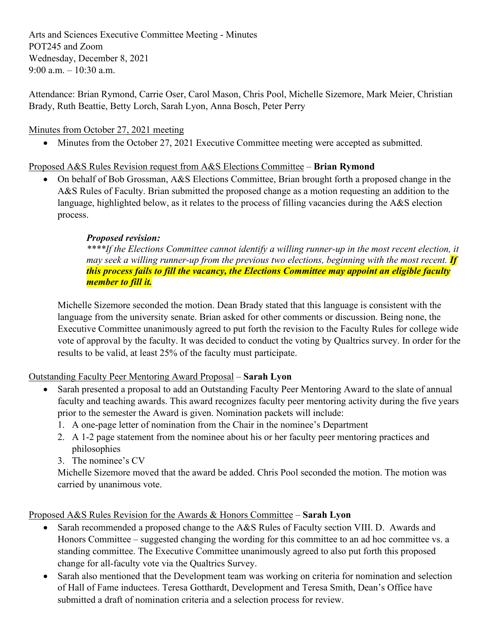Arts and Sciences Executive Committee Meeting - Minutes POT245 and Zoom Wednesday, December 8, 2021 9:00 a.m.  $-10:30$  a.m.

Attendance: Brian Rymond, Carrie Oser, Carol Mason, Chris Pool, Michelle Sizemore, Mark Meier, Christian Brady, Ruth Beattie, Betty Lorch, Sarah Lyon, Anna Bosch, Peter Perry

# Minutes from October 27, 2021 meeting

• Minutes from the October 27, 2021 Executive Committee meeting were accepted as submitted.

# Proposed A&S Rules Revision request from A&S Elections Committee – **Brian Rymond**

• On behalf of Bob Grossman, A&S Elections Committee, Brian brought forth a proposed change in the A&S Rules of Faculty. Brian submitted the proposed change as a motion requesting an addition to the language, highlighted below, as it relates to the process of filling vacancies during the A&S election process.

# *Proposed revision:*

*\*\*\*\*If the Elections Committee cannot identify a willing runner-up in the most recent election, it may seek a willing runner-up from the previous two elections, beginning with the most recent. If this process fails to fill the vacancy, the Elections Committee may appoint an eligible faculty member to fill it.*

Michelle Sizemore seconded the motion. Dean Brady stated that this language is consistent with the language from the university senate. Brian asked for other comments or discussion. Being none, the Executive Committee unanimously agreed to put forth the revision to the Faculty Rules for college wide vote of approval by the faculty. It was decided to conduct the voting by Qualtrics survey. In order for the results to be valid, at least 25% of the faculty must participate.

### Outstanding Faculty Peer Mentoring Award Proposal – **Sarah Lyon**

- Sarah presented a proposal to add an Outstanding Faculty Peer Mentoring Award to the slate of annual faculty and teaching awards. This award recognizes faculty peer mentoring activity during the five years prior to the semester the Award is given. Nomination packets will include:
	- 1. A one-page letter of nomination from the Chair in the nominee's Department
	- 2. A 1-2 page statement from the nominee about his or her faculty peer mentoring practices and philosophies
	- 3. The nominee's CV

Michelle Sizemore moved that the award be added. Chris Pool seconded the motion. The motion was carried by unanimous vote.

Proposed A&S Rules Revision for the Awards & Honors Committee – **Sarah Lyon**

- Sarah recommended a proposed change to the A&S Rules of Faculty section VIII. D. Awards and Honors Committee – suggested changing the wording for this committee to an ad hoc committee vs. a standing committee. The Executive Committee unanimously agreed to also put forth this proposed change for all-faculty vote via the Qualtrics Survey.
- Sarah also mentioned that the Development team was working on criteria for nomination and selection of Hall of Fame inductees. Teresa Gotthardt, Development and Teresa Smith, Dean's Office have submitted a draft of nomination criteria and a selection process for review.